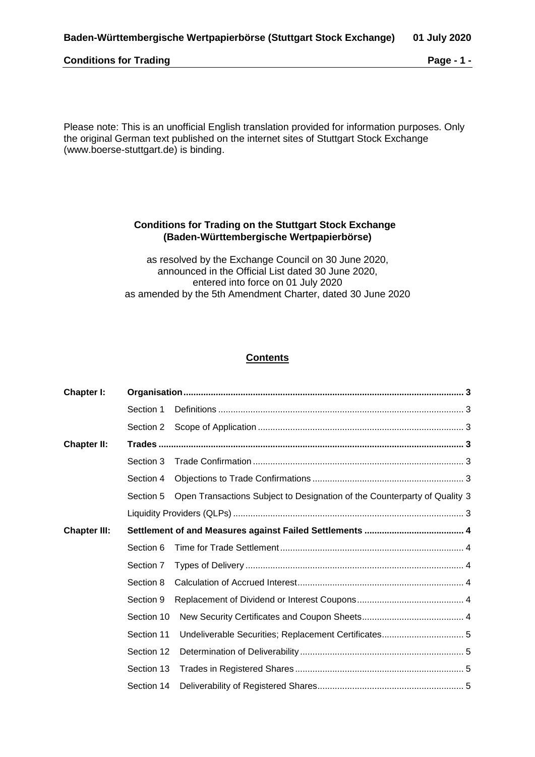# **Conditions for Trading Page - 1 -**

Please note: This is an unofficial English translation provided for information purposes. Only the original German text published on the internet sites of Stuttgart Stock Exchange (www.boerse-stuttgart.de) is binding.

# **Conditions for Trading on the Stuttgart Stock Exchange (Baden-Württembergische Wertpapierbörse)**

as resolved by the Exchange Council on 30 June 2020, announced in the Official List dated 30 June 2020, entered into force on 01 July 2020 as amended by the 5th Amendment Charter, dated 30 June 2020

# **Contents**

| Chapter I:          |            |                                                                           |  |
|---------------------|------------|---------------------------------------------------------------------------|--|
|                     | Section 1  |                                                                           |  |
|                     | Section 2  |                                                                           |  |
| <b>Chapter II:</b>  |            |                                                                           |  |
|                     | Section 3  |                                                                           |  |
|                     | Section 4  |                                                                           |  |
|                     | Section 5  | Open Transactions Subject to Designation of the Counterparty of Quality 3 |  |
|                     |            |                                                                           |  |
| <b>Chapter III:</b> |            |                                                                           |  |
|                     | Section 6  |                                                                           |  |
|                     | Section 7  |                                                                           |  |
|                     | Section 8  |                                                                           |  |
|                     | Section 9  |                                                                           |  |
|                     | Section 10 |                                                                           |  |
|                     | Section 11 |                                                                           |  |
|                     | Section 12 |                                                                           |  |
|                     | Section 13 |                                                                           |  |
|                     | Section 14 |                                                                           |  |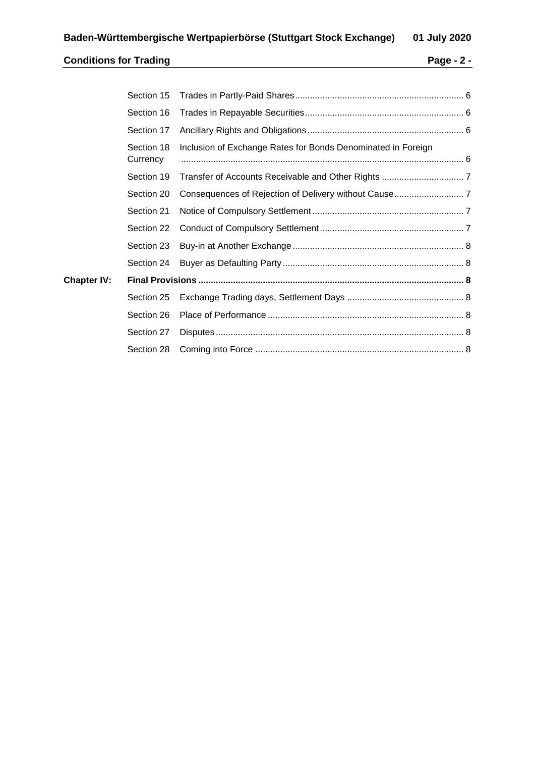# **Conditions for Trading Page - 2 -**

|                    | Section 15             |                                                              |  |
|--------------------|------------------------|--------------------------------------------------------------|--|
|                    | Section 16             |                                                              |  |
|                    | Section 17             |                                                              |  |
|                    | Section 18<br>Currency | Inclusion of Exchange Rates for Bonds Denominated in Foreign |  |
|                    | Section 19             |                                                              |  |
|                    | Section 20             |                                                              |  |
|                    | Section 21             |                                                              |  |
|                    | Section 22             |                                                              |  |
|                    | Section 23             |                                                              |  |
|                    | Section 24             |                                                              |  |
| <b>Chapter IV:</b> |                        |                                                              |  |
|                    | Section 25             |                                                              |  |
|                    | Section 26             |                                                              |  |
|                    | Section 27             |                                                              |  |
|                    | Section 28             |                                                              |  |
|                    |                        |                                                              |  |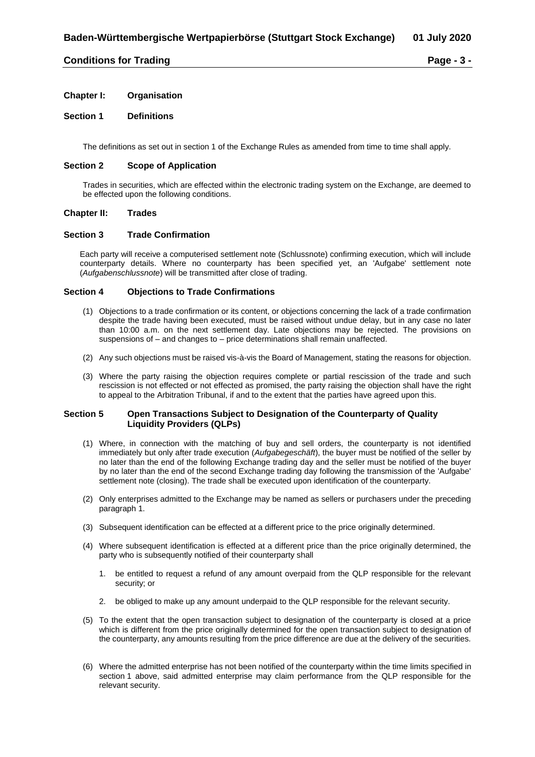# **Conditions for Trading Page - 3 -**

# <span id="page-2-0"></span>**Chapter I: Organisation**

# <span id="page-2-1"></span>**Section 1 Definitions**

The definitions as set out in section 1 of the Exchange Rules as amended from time to time shall apply.

# <span id="page-2-2"></span>**Section 2 Scope of Application**

Trades in securities, which are effected within the electronic trading system on the Exchange, are deemed to be effected upon the following conditions.

#### <span id="page-2-3"></span>**Chapter II: Trades**

## <span id="page-2-4"></span>**Section 3 Trade Confirmation**

Each party will receive a computerised settlement note (Schlussnote) confirming execution, which will include counterparty details. Where no counterparty has been specified yet, an 'Aufgabe' settlement note (*Aufgabenschlussnote*) will be transmitted after close of trading.

## <span id="page-2-5"></span>**Section 4 Objections to Trade Confirmations**

- (1) Objections to a trade confirmation or its content, or objections concerning the lack of a trade confirmation despite the trade having been executed, must be raised without undue delay, but in any case no later than 10:00 a.m. on the next settlement day. Late objections may be rejected. The provisions on suspensions of – and changes to – price determinations shall remain unaffected.
- (2) Any such objections must be raised vis-à-vis the Board of Management, stating the reasons for objection.
- (3) Where the party raising the objection requires complete or partial rescission of the trade and such rescission is not effected or not effected as promised, the party raising the objection shall have the right to appeal to the Arbitration Tribunal, if and to the extent that the parties have agreed upon this.

## <span id="page-2-7"></span><span id="page-2-6"></span>**Section 5 Open Transactions Subject to Designation of the Counterparty of Quality Liquidity Providers (QLPs)**

- (1) Where, in connection with the matching of buy and sell orders, the counterparty is not identified immediately but only after trade execution (*Aufgabegeschäft*), the buyer must be notified of the seller by no later than the end of the following Exchange trading day and the seller must be notified of the buyer by no later than the end of the second Exchange trading day following the transmission of the 'Aufgabe' settlement note (closing). The trade shall be executed upon identification of the counterparty.
- (2) Only enterprises admitted to the Exchange may be named as sellers or purchasers under the preceding paragraph 1.
- (3) Subsequent identification can be effected at a different price to the price originally determined.
- (4) Where subsequent identification is effected at a different price than the price originally determined, the party who is subsequently notified of their counterparty shall
	- 1. be entitled to request a refund of any amount overpaid from the QLP responsible for the relevant security; or
	- 2. be obliged to make up any amount underpaid to the QLP responsible for the relevant security.
- (5) To the extent that the open transaction subject to designation of the counterparty is closed at a price which is different from the price originally determined for the open transaction subject to designation of the counterparty, any amounts resulting from the price difference are due at the delivery of the securities.
- (6) Where the admitted enterprise has not been notified of the counterparty within the time limits specified in section 1 above, said admitted enterprise may claim performance from the QLP responsible for the relevant security.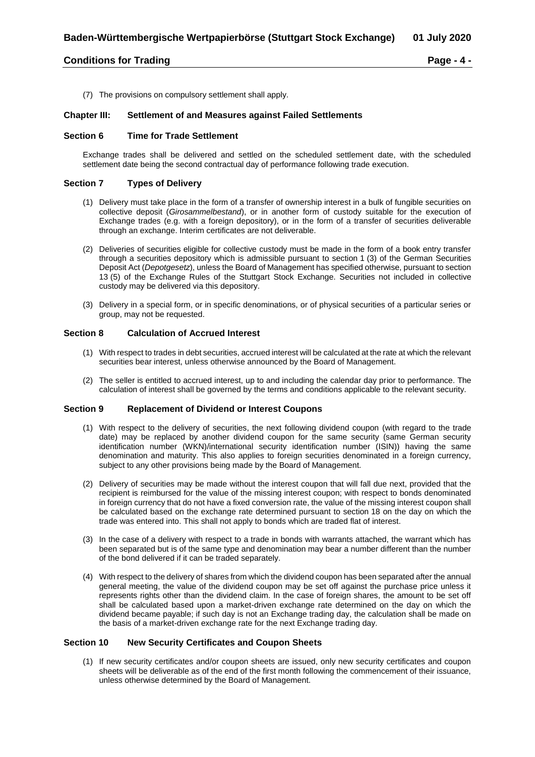# **Conditions for Trading Page - 4 -**

(7) The provisions on compulsory settlement shall apply.

#### <span id="page-3-0"></span>**Chapter III: Settlement of and Measures against Failed Settlements**

#### <span id="page-3-1"></span>**Section 6 Time for Trade Settlement**

Exchange trades shall be delivered and settled on the scheduled settlement date, with the scheduled settlement date being the second contractual day of performance following trade execution.

#### <span id="page-3-2"></span>**Section 7 Types of Delivery**

- (1) Delivery must take place in the form of a transfer of ownership interest in a bulk of fungible securities on collective deposit (*Girosammelbestand*), or in another form of custody suitable for the execution of Exchange trades (e.g. with a foreign depository), or in the form of a transfer of securities deliverable through an exchange. Interim certificates are not deliverable.
- (2) Deliveries of securities eligible for collective custody must be made in the form of a book entry transfer through a securities depository which is admissible pursuant to section 1 (3) of the German Securities Deposit Act (*Depotgesetz*), unless the Board of Management has specified otherwise, pursuant to section 13 (5) of the Exchange Rules of the Stuttgart Stock Exchange. Securities not included in collective custody may be delivered via this depository.
- (3) Delivery in a special form, or in specific denominations, or of physical securities of a particular series or group, may not be requested.

#### <span id="page-3-3"></span>**Section 8 Calculation of Accrued Interest**

- (1) With respect to trades in debt securities, accrued interest will be calculated at the rate at which the relevant securities bear interest, unless otherwise announced by the Board of Management.
- (2) The seller is entitled to accrued interest, up to and including the calendar day prior to performance. The calculation of interest shall be governed by the terms and conditions applicable to the relevant security.

#### <span id="page-3-4"></span>**Section 9 Replacement of Dividend or Interest Coupons**

- (1) With respect to the delivery of securities, the next following dividend coupon (with regard to the trade date) may be replaced by another dividend coupon for the same security (same German security identification number (WKN)/international security identification number (ISIN)) having the same denomination and maturity. This also applies to foreign securities denominated in a foreign currency, subject to any other provisions being made by the Board of Management.
- (2) Delivery of securities may be made without the interest coupon that will fall due next, provided that the recipient is reimbursed for the value of the missing interest coupon; with respect to bonds denominated in foreign currency that do not have a fixed conversion rate, the value of the missing interest coupon shall be calculated based on the exchange rate determined pursuant to section 18 on the day on which the trade was entered into. This shall not apply to bonds which are traded flat of interest.
- (3) In the case of a delivery with respect to a trade in bonds with warrants attached, the warrant which has been separated but is of the same type and denomination may bear a number different than the number of the bond delivered if it can be traded separately.
- (4) With respect to the delivery of shares from which the dividend coupon has been separated after the annual general meeting, the value of the dividend coupon may be set off against the purchase price unless it represents rights other than the dividend claim. In the case of foreign shares, the amount to be set off shall be calculated based upon a market-driven exchange rate determined on the day on which the dividend became payable; if such day is not an Exchange trading day, the calculation shall be made on the basis of a market-driven exchange rate for the next Exchange trading day.

#### <span id="page-3-5"></span>**Section 10 New Security Certificates and Coupon Sheets**

(1) If new security certificates and/or coupon sheets are issued, only new security certificates and coupon sheets will be deliverable as of the end of the first month following the commencement of their issuance, unless otherwise determined by the Board of Management.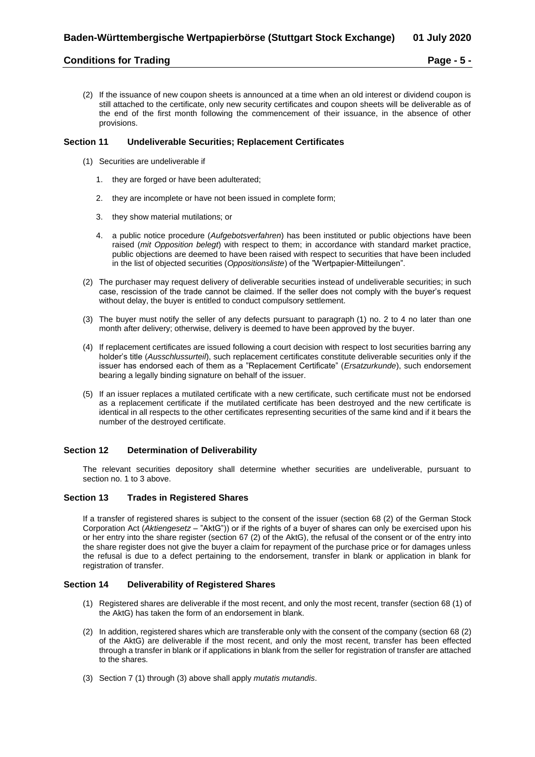# **Conditions for Trading Page - 5 -**

(2) If the issuance of new coupon sheets is announced at a time when an old interest or dividend coupon is still attached to the certificate, only new security certificates and coupon sheets will be deliverable as of the end of the first month following the commencement of their issuance, in the absence of other provisions.

#### <span id="page-4-0"></span>**Section 11 Undeliverable Securities; Replacement Certificates**

- (1) Securities are undeliverable if
	- 1. they are forged or have been adulterated;
	- 2. they are incomplete or have not been issued in complete form;
	- 3. they show material mutilations; or
	- 4. a public notice procedure (*Aufgebotsverfahren*) has been instituted or public objections have been raised (*mit Opposition belegt*) with respect to them; in accordance with standard market practice, public objections are deemed to have been raised with respect to securities that have been included in the list of objected securities (*Oppositionsliste*) of the "Wertpapier-Mitteilungen".
- (2) The purchaser may request delivery of deliverable securities instead of undeliverable securities; in such case, rescission of the trade cannot be claimed. If the seller does not comply with the buyer's request without delay, the buyer is entitled to conduct compulsory settlement.
- (3) The buyer must notify the seller of any defects pursuant to paragraph (1) no. 2 to 4 no later than one month after delivery; otherwise, delivery is deemed to have been approved by the buyer.
- (4) If replacement certificates are issued following a court decision with respect to lost securities barring any holder's title (*Ausschlussurteil*), such replacement certificates constitute deliverable securities only if the issuer has endorsed each of them as a "Replacement Certificate" (*Ersatzurkunde*), such endorsement bearing a legally binding signature on behalf of the issuer.
- (5) If an issuer replaces a mutilated certificate with a new certificate, such certificate must not be endorsed as a replacement certificate if the mutilated certificate has been destroyed and the new certificate is identical in all respects to the other certificates representing securities of the same kind and if it bears the number of the destroyed certificate.

# <span id="page-4-1"></span>**Section 12 Determination of Deliverability**

The relevant securities depository shall determine whether securities are undeliverable, pursuant to section no. 1 to 3 above.

#### <span id="page-4-2"></span>**Section 13 Trades in Registered Shares**

If a transfer of registered shares is subject to the consent of the issuer (section 68 (2) of the German Stock Corporation Act (*Aktiengesetz* – "AktG")) or if the rights of a buyer of shares can only be exercised upon his or her entry into the share register (section 67 (2) of the AktG), the refusal of the consent or of the entry into the share register does not give the buyer a claim for repayment of the purchase price or for damages unless the refusal is due to a defect pertaining to the endorsement, transfer in blank or application in blank for registration of transfer.

#### <span id="page-4-3"></span>**Section 14 Deliverability of Registered Shares**

- (1) Registered shares are deliverable if the most recent, and only the most recent, transfer (section 68 (1) of the AktG) has taken the form of an endorsement in blank.
- (2) In addition, registered shares which are transferable only with the consent of the company (section 68 (2) of the AktG) are deliverable if the most recent, and only the most recent, transfer has been effected through a transfer in blank or if applications in blank from the seller for registration of transfer are attached to the shares.
- (3) Section 7 (1) through (3) above shall apply *mutatis mutandis*.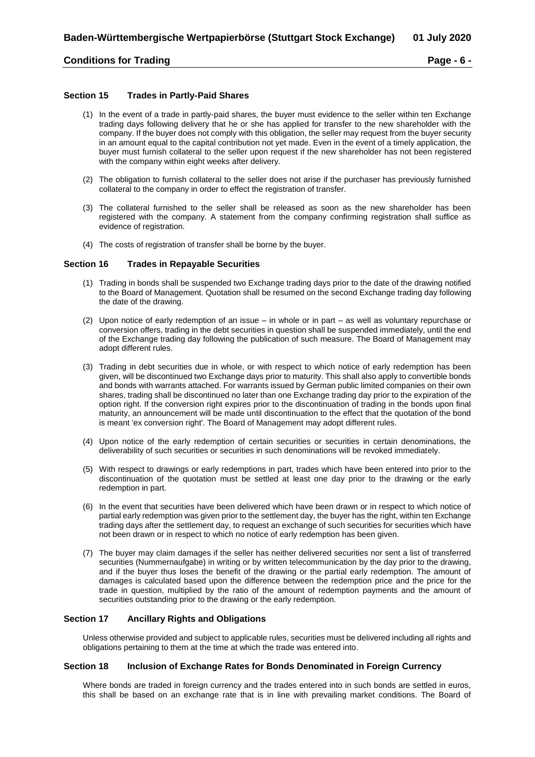# **Conditions for Trading Page - 6 -**

# <span id="page-5-0"></span>**Section 15 Trades in Partly-Paid Shares**

- (1) In the event of a trade in partly-paid shares, the buyer must evidence to the seller within ten Exchange trading days following delivery that he or she has applied for transfer to the new shareholder with the company. If the buyer does not comply with this obligation, the seller may request from the buyer security in an amount equal to the capital contribution not yet made. Even in the event of a timely application, the buyer must furnish collateral to the seller upon request if the new shareholder has not been registered with the company within eight weeks after delivery.
- (2) The obligation to furnish collateral to the seller does not arise if the purchaser has previously furnished collateral to the company in order to effect the registration of transfer.
- (3) The collateral furnished to the seller shall be released as soon as the new shareholder has been registered with the company. A statement from the company confirming registration shall suffice as evidence of registration.
- (4) The costs of registration of transfer shall be borne by the buyer.

## <span id="page-5-1"></span>**Section 16 Trades in Repayable Securities**

- (1) Trading in bonds shall be suspended two Exchange trading days prior to the date of the drawing notified to the Board of Management. Quotation shall be resumed on the second Exchange trading day following the date of the drawing.
- (2) Upon notice of early redemption of an issue in whole or in part as well as voluntary repurchase or conversion offers, trading in the debt securities in question shall be suspended immediately, until the end of the Exchange trading day following the publication of such measure. The Board of Management may adopt different rules.
- (3) Trading in debt securities due in whole, or with respect to which notice of early redemption has been given, will be discontinued two Exchange days prior to maturity. This shall also apply to convertible bonds and bonds with warrants attached. For warrants issued by German public limited companies on their own shares, trading shall be discontinued no later than one Exchange trading day prior to the expiration of the option right. If the conversion right expires prior to the discontinuation of trading in the bonds upon final maturity, an announcement will be made until discontinuation to the effect that the quotation of the bond is meant 'ex conversion right'. The Board of Management may adopt different rules.
- (4) Upon notice of the early redemption of certain securities or securities in certain denominations, the deliverability of such securities or securities in such denominations will be revoked immediately.
- (5) With respect to drawings or early redemptions in part, trades which have been entered into prior to the discontinuation of the quotation must be settled at least one day prior to the drawing or the early redemption in part.
- (6) In the event that securities have been delivered which have been drawn or in respect to which notice of partial early redemption was given prior to the settlement day, the buyer has the right, within ten Exchange trading days after the settlement day, to request an exchange of such securities for securities which have not been drawn or in respect to which no notice of early redemption has been given.
- (7) The buyer may claim damages if the seller has neither delivered securities nor sent a list of transferred securities (Nummernaufgabe) in writing or by written telecommunication by the day prior to the drawing, and if the buyer thus loses the benefit of the drawing or the partial early redemption. The amount of damages is calculated based upon the difference between the redemption price and the price for the trade in question, multiplied by the ratio of the amount of redemption payments and the amount of securities outstanding prior to the drawing or the early redemption.

# <span id="page-5-2"></span>**Section 17 Ancillary Rights and Obligations**

Unless otherwise provided and subject to applicable rules, securities must be delivered including all rights and obligations pertaining to them at the time at which the trade was entered into.

## <span id="page-5-3"></span>**Section 18 Inclusion of Exchange Rates for Bonds Denominated in Foreign Currency**

Where bonds are traded in foreign currency and the trades entered into in such bonds are settled in euros, this shall be based on an exchange rate that is in line with prevailing market conditions. The Board of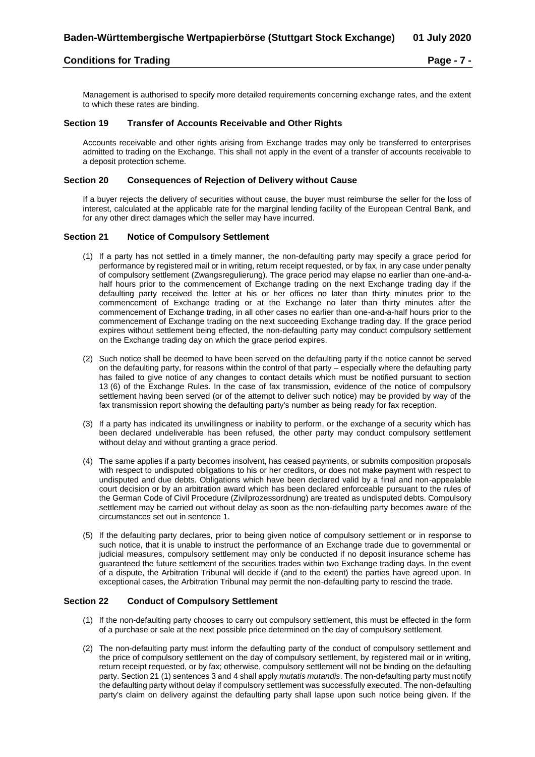# **Conditions for Trading Page - 7 -**

Management is authorised to specify more detailed requirements concerning exchange rates, and the extent to which these rates are binding.

#### <span id="page-6-0"></span>**Section 19 Transfer of Accounts Receivable and Other Rights**

Accounts receivable and other rights arising from Exchange trades may only be transferred to enterprises admitted to trading on the Exchange. This shall not apply in the event of a transfer of accounts receivable to a deposit protection scheme.

#### <span id="page-6-1"></span>**Section 20 Consequences of Rejection of Delivery without Cause**

If a buyer rejects the delivery of securities without cause, the buyer must reimburse the seller for the loss of interest, calculated at the applicable rate for the marginal lending facility of the European Central Bank, and for any other direct damages which the seller may have incurred.

#### <span id="page-6-2"></span>**Section 21 Notice of Compulsory Settlement**

- (1) If a party has not settled in a timely manner, the non-defaulting party may specify a grace period for performance by registered mail or in writing, return receipt requested, or by fax, in any case under penalty of compulsory settlement (Zwangsregulierung). The grace period may elapse no earlier than one-and-ahalf hours prior to the commencement of Exchange trading on the next Exchange trading day if the defaulting party received the letter at his or her offices no later than thirty minutes prior to the commencement of Exchange trading or at the Exchange no later than thirty minutes after the commencement of Exchange trading, in all other cases no earlier than one-and-a-half hours prior to the commencement of Exchange trading on the next succeeding Exchange trading day. If the grace period expires without settlement being effected, the non-defaulting party may conduct compulsory settlement on the Exchange trading day on which the grace period expires.
- (2) Such notice shall be deemed to have been served on the defaulting party if the notice cannot be served on the defaulting party, for reasons within the control of that party – especially where the defaulting party has failed to give notice of any changes to contact details which must be notified pursuant to section 13 (6) of the Exchange Rules. In the case of fax transmission, evidence of the notice of compulsory settlement having been served (or of the attempt to deliver such notice) may be provided by way of the fax transmission report showing the defaulting party's number as being ready for fax reception.
- (3) If a party has indicated its unwillingness or inability to perform, or the exchange of a security which has been declared undeliverable has been refused, the other party may conduct compulsory settlement without delay and without granting a grace period.
- (4) The same applies if a party becomes insolvent, has ceased payments, or submits composition proposals with respect to undisputed obligations to his or her creditors, or does not make payment with respect to undisputed and due debts. Obligations which have been declared valid by a final and non-appealable court decision or by an arbitration award which has been declared enforceable pursuant to the rules of the German Code of Civil Procedure (Zivilprozessordnung) are treated as undisputed debts. Compulsory settlement may be carried out without delay as soon as the non-defaulting party becomes aware of the circumstances set out in sentence 1.
- (5) If the defaulting party declares, prior to being given notice of compulsory settlement or in response to such notice, that it is unable to instruct the performance of an Exchange trade due to governmental or judicial measures, compulsory settlement may only be conducted if no deposit insurance scheme has guaranteed the future settlement of the securities trades within two Exchange trading days. In the event of a dispute, the Arbitration Tribunal will decide if (and to the extent) the parties have agreed upon. In exceptional cases, the Arbitration Tribunal may permit the non-defaulting party to rescind the trade.

#### <span id="page-6-3"></span>**Section 22 Conduct of Compulsory Settlement**

- (1) If the non-defaulting party chooses to carry out compulsory settlement, this must be effected in the form of a purchase or sale at the next possible price determined on the day of compulsory settlement.
- (2) The non-defaulting party must inform the defaulting party of the conduct of compulsory settlement and the price of compulsory settlement on the day of compulsory settlement, by registered mail or in writing, return receipt requested, or by fax; otherwise, compulsory settlement will not be binding on the defaulting party. Section 21 (1) sentences 3 and 4 shall apply *mutatis mutandis*. The non-defaulting party must notify the defaulting party without delay if compulsory settlement was successfully executed. The non-defaulting party's claim on delivery against the defaulting party shall lapse upon such notice being given. If the